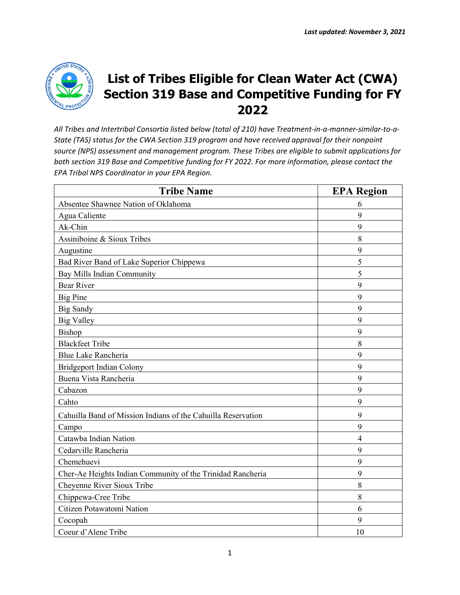

## **List of Tribes Eligible for Clean Water Act (CWA) Section 319 Base and Competitive Funding for FY 2022**

*All Tribes and Intertribal Consortia listed below (total of 210) have Treatment-in-a-manner-similar-to-a-State (TAS) status for the CWA Section 319 program and have received approval for their nonpoint source (NPS) assessment and management program. These Tribes are eligible to submit applications for both section 319 Base and Competitive funding for FY 2022. For more information, please contact the EPA Tribal NPS Coordinator in your EPA Region.* 

| <b>Tribe Name</b>                                            | <b>EPA Region</b> |
|--------------------------------------------------------------|-------------------|
| Absentee Shawnee Nation of Oklahoma                          | 6                 |
| Agua Caliente                                                | 9                 |
| Ak-Chin                                                      | 9                 |
| Assiniboine & Sioux Tribes                                   | 8                 |
| Augustine                                                    | 9                 |
| Bad River Band of Lake Superior Chippewa                     | 5                 |
| Bay Mills Indian Community                                   | 5                 |
| <b>Bear River</b>                                            | 9                 |
| <b>Big Pine</b>                                              | 9                 |
| <b>Big Sandy</b>                                             | 9                 |
| <b>Big Valley</b>                                            | 9                 |
| Bishop                                                       | 9                 |
| <b>Blackfeet Tribe</b>                                       | 8                 |
| Blue Lake Rancheria                                          | 9                 |
| <b>Bridgeport Indian Colony</b>                              | 9                 |
| Buena Vista Rancheria                                        | 9                 |
| Cabazon                                                      | 9                 |
| Cahto                                                        | 9                 |
| Cahuilla Band of Mission Indians of the Cahuilla Reservation | 9                 |
| Campo                                                        | 9                 |
| Catawba Indian Nation                                        | $\overline{4}$    |
| Cedarville Rancheria                                         | 9                 |
| Chemehuevi                                                   | 9                 |
| Cher-Ae Heights Indian Community of the Trinidad Rancheria   | 9                 |
| Cheyenne River Sioux Tribe                                   | 8                 |
| Chippewa-Cree Tribe                                          | 8                 |
| Citizen Potawatomi Nation                                    | 6                 |
| Cocopah                                                      | 9                 |
| Coeur d'Alene Tribe                                          | 10                |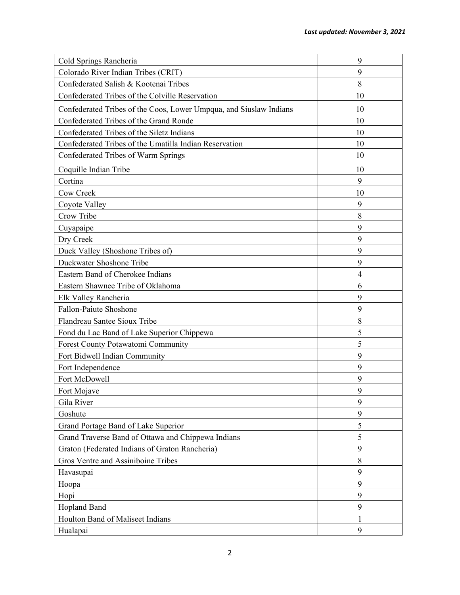| Cold Springs Rancheria                                             | 9              |
|--------------------------------------------------------------------|----------------|
| Colorado River Indian Tribes (CRIT)                                | 9              |
| Confederated Salish & Kootenai Tribes                              | 8              |
| Confederated Tribes of the Colville Reservation                    | 10             |
| Confederated Tribes of the Coos, Lower Umpqua, and Siuslaw Indians | 10             |
| Confederated Tribes of the Grand Ronde                             | 10             |
| Confederated Tribes of the Siletz Indians                          | 10             |
| Confederated Tribes of the Umatilla Indian Reservation             | 10             |
| Confederated Tribes of Warm Springs                                | 10             |
| Coquille Indian Tribe                                              | 10             |
| Cortina                                                            | 9              |
| Cow Creek                                                          | 10             |
| Coyote Valley                                                      | 9              |
| Crow Tribe                                                         | 8              |
| Cuyapaipe                                                          | 9              |
| Dry Creek                                                          | 9              |
| Duck Valley (Shoshone Tribes of)                                   | 9              |
| Duckwater Shoshone Tribe                                           | 9              |
| Eastern Band of Cherokee Indians                                   | $\overline{4}$ |
| Eastern Shawnee Tribe of Oklahoma                                  | 6              |
| Elk Valley Rancheria                                               | 9              |
| Fallon-Paiute Shoshone                                             | 9              |
| Flandreau Santee Sioux Tribe                                       | 8              |
| Fond du Lac Band of Lake Superior Chippewa                         | 5              |
| Forest County Potawatomi Community                                 | 5              |
| Fort Bidwell Indian Community                                      | 9              |
| Fort Independence                                                  | 9              |
| Fort McDowell                                                      | 9              |
| Fort Mojave                                                        | 9              |
| Gila River                                                         | 9              |
| Goshute                                                            | 9              |
| Grand Portage Band of Lake Superior                                | 5              |
| Grand Traverse Band of Ottawa and Chippewa Indians                 | 5              |
| Graton (Federated Indians of Graton Rancheria)                     | 9              |
| Gros Ventre and Assiniboine Tribes                                 | 8              |
| Havasupai                                                          | 9              |
| Hoopa                                                              | 9              |
| Hopi                                                               | 9              |
| <b>Hopland Band</b>                                                | 9              |
| Houlton Band of Maliseet Indians                                   | 1              |
| Hualapai                                                           | 9              |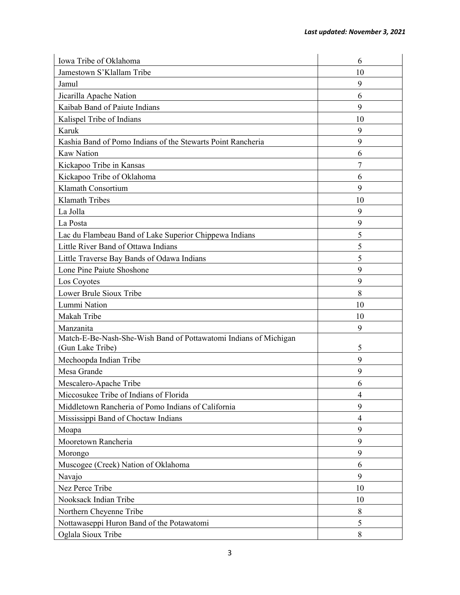| Iowa Tribe of Oklahoma                                                               | 6              |
|--------------------------------------------------------------------------------------|----------------|
| Jamestown S'Klallam Tribe                                                            | 10             |
| Jamul                                                                                | 9              |
| Jicarilla Apache Nation                                                              | 6              |
| Kaibab Band of Paiute Indians                                                        | 9              |
| Kalispel Tribe of Indians                                                            | 10             |
| Karuk                                                                                | 9              |
| Kashia Band of Pomo Indians of the Stewarts Point Rancheria                          | 9              |
| <b>Kaw Nation</b>                                                                    | 6              |
| Kickapoo Tribe in Kansas                                                             | 7              |
| Kickapoo Tribe of Oklahoma                                                           | 6              |
| Klamath Consortium                                                                   | 9              |
| <b>Klamath Tribes</b>                                                                | 10             |
| La Jolla                                                                             | 9              |
| La Posta                                                                             | 9              |
| Lac du Flambeau Band of Lake Superior Chippewa Indians                               | 5              |
| Little River Band of Ottawa Indians                                                  | 5              |
| Little Traverse Bay Bands of Odawa Indians                                           | 5              |
| Lone Pine Paiute Shoshone                                                            | 9              |
| Los Coyotes                                                                          | 9              |
| Lower Brule Sioux Tribe                                                              | 8              |
| Lummi Nation                                                                         | 10             |
| Makah Tribe                                                                          | 10             |
| Manzanita                                                                            | 9              |
| Match-E-Be-Nash-She-Wish Band of Pottawatomi Indians of Michigan<br>(Gun Lake Tribe) | 5              |
| Mechoopda Indian Tribe                                                               | 9              |
| Mesa Grande                                                                          | 9              |
| Mescalero-Apache Tribe                                                               | 6              |
| Miccosukee Tribe of Indians of Florida                                               | $\overline{4}$ |
| Middletown Rancheria of Pomo Indians of California                                   | 9              |
| Mississippi Band of Choctaw Indians                                                  | $\overline{4}$ |
| Moapa                                                                                | 9              |
| Mooretown Rancheria                                                                  | 9              |
| Morongo                                                                              | 9              |
| Muscogee (Creek) Nation of Oklahoma                                                  | 6              |
| Navajo                                                                               | 9              |
| Nez Perce Tribe                                                                      | 10             |
| Nooksack Indian Tribe                                                                | 10             |
| Northern Cheyenne Tribe                                                              | 8              |
| Nottawaseppi Huron Band of the Potawatomi                                            | 5              |
| Oglala Sioux Tribe                                                                   | 8              |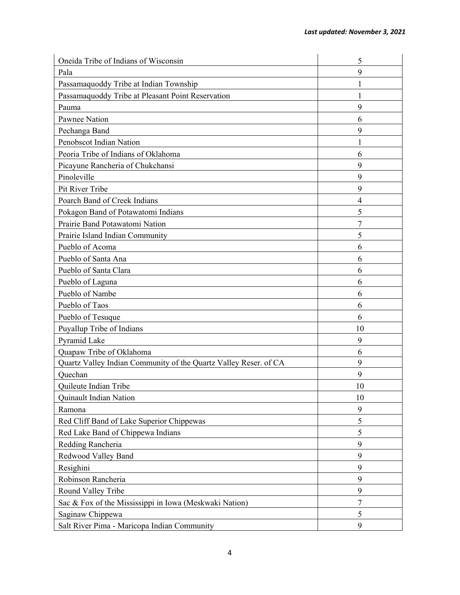| Oneida Tribe of Indians of Wisconsin                             | 5      |
|------------------------------------------------------------------|--------|
| Pala                                                             | 9      |
| Passamaquoddy Tribe at Indian Township                           |        |
| Passamaquoddy Tribe at Pleasant Point Reservation                |        |
| Pauma                                                            | 9      |
| <b>Pawnee Nation</b>                                             | 6      |
| Pechanga Band                                                    | 9      |
| Penobscot Indian Nation                                          |        |
| Peoria Tribe of Indians of Oklahoma                              | 6      |
| Picayune Rancheria of Chukchansi                                 | 9      |
| Pinoleville                                                      | 9      |
| Pit River Tribe                                                  | 9      |
| Poarch Band of Creek Indians                                     | 4      |
| Pokagon Band of Potawatomi Indians                               | 5      |
| Prairie Band Potawatomi Nation                                   | 7      |
| Prairie Island Indian Community                                  | 5      |
| Pueblo of Acoma                                                  | 6      |
| Pueblo of Santa Ana                                              | 6      |
| Pueblo of Santa Clara                                            | 6      |
| Pueblo of Laguna                                                 | 6      |
| Pueblo of Nambe                                                  | 6      |
| Pueblo of Taos                                                   | 6      |
| Pueblo of Tesuque                                                | 6      |
| Puyallup Tribe of Indians                                        | 10     |
| Pyramid Lake                                                     | 9      |
| Quapaw Tribe of Oklahoma                                         | 6      |
| Quartz Valley Indian Community of the Quartz Valley Reser. of CA | 9      |
| Quechan                                                          | 9      |
| Quileute Indian Tribe                                            | 10     |
| Quinault Indian Nation                                           | 10     |
| Ramona                                                           | 9      |
| Red Cliff Band of Lake Superior Chippewas                        | 5      |
| Red Lake Band of Chippewa Indians                                | 5      |
| Redding Rancheria                                                | 9      |
| Redwood Valley Band                                              | 9      |
| Resighini                                                        | 9      |
| Robinson Rancheria                                               | 9      |
| Round Valley Tribe                                               | 9      |
| Sac & Fox of the Mississippi in Iowa (Meskwaki Nation)           | $\tau$ |
| Saginaw Chippewa                                                 | 5      |
| Salt River Pima - Maricopa Indian Community                      | 9      |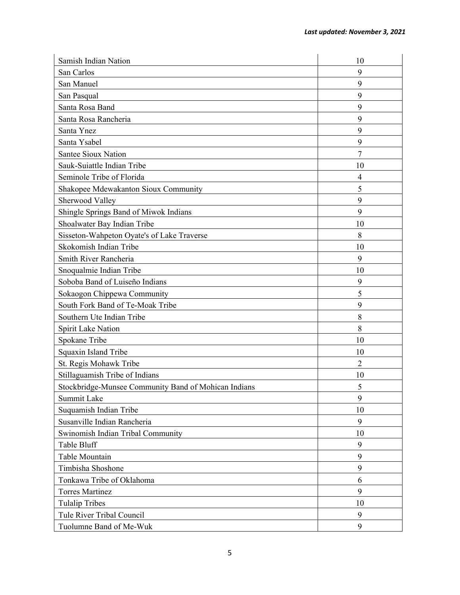| Samish Indian Nation                                 | 10             |
|------------------------------------------------------|----------------|
| San Carlos                                           | 9              |
| San Manuel                                           | 9              |
| San Pasqual                                          | 9              |
| Santa Rosa Band                                      | 9              |
| Santa Rosa Rancheria                                 | 9              |
| Santa Ynez                                           | 9              |
| Santa Ysabel                                         | 9              |
| Santee Sioux Nation                                  | 7              |
| Sauk-Suiattle Indian Tribe                           | 10             |
| Seminole Tribe of Florida                            | $\overline{4}$ |
| Shakopee Mdewakanton Sioux Community                 | 5              |
| Sherwood Valley                                      | 9              |
| Shingle Springs Band of Miwok Indians                | 9              |
| Shoalwater Bay Indian Tribe                          | 10             |
| Sisseton-Wahpeton Oyate's of Lake Traverse           | 8              |
| Skokomish Indian Tribe                               | 10             |
| Smith River Rancheria                                | 9              |
| Snoqualmie Indian Tribe                              | 10             |
| Soboba Band of Luiseño Indians                       | 9              |
| Sokaogon Chippewa Community                          | 5              |
| South Fork Band of Te-Moak Tribe                     | 9              |
| Southern Ute Indian Tribe                            | 8              |
| Spirit Lake Nation                                   | 8              |
| Spokane Tribe                                        | 10             |
| Squaxin Island Tribe                                 | 10             |
| St. Regis Mohawk Tribe                               | $\overline{2}$ |
| Stillaguamish Tribe of Indians                       | 10             |
| Stockbridge-Munsee Community Band of Mohican Indians | 5              |
| Summit Lake                                          | 9              |
| Suquamish Indian Tribe                               | 10             |
| Susanville Indian Rancheria                          | 9              |
| Swinomish Indian Tribal Community                    | 10             |
| Table Bluff                                          | 9              |
| Table Mountain                                       | 9              |
| Timbisha Shoshone                                    | 9              |
| Tonkawa Tribe of Oklahoma                            | 6              |
| <b>Torres Martinez</b>                               | 9              |
| <b>Tulalip Tribes</b>                                | 10             |
| Tule River Tribal Council                            | $\mathbf{9}$   |
| Tuolumne Band of Me-Wuk                              | 9              |